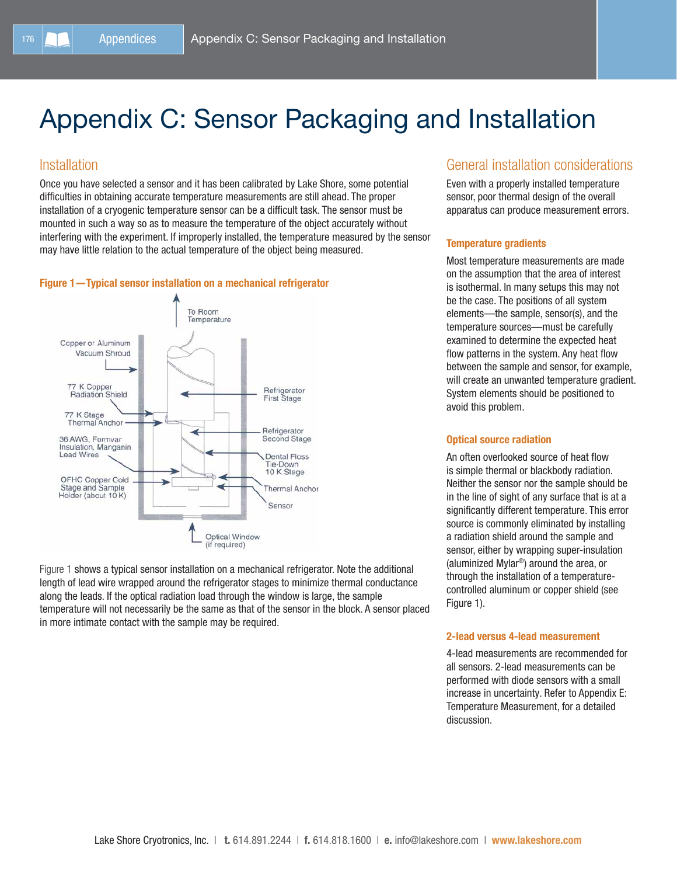# Appendix C: Sensor Packaging and Installation

### Installation

Once you have selected a sensor and it has been calibrated by Lake Shore, some potential difficulties in obtaining accurate temperature measurements are still ahead. The proper installation of a cryogenic temperature sensor can be a difficult task. The sensor must be mounted in such a way so as to measure the temperature of the object accurately without interfering with the experiment. If improperly installed, the temperature measured by the sensor may have little relation to the actual temperature of the object being measured.

#### Figure 1—Typical sensor installation on a mechanical refrigerator



Figure 1 shows a typical sensor installation on a mechanical refrigerator. Note the additional length of lead wire wrapped around the refrigerator stages to minimize thermal conductance along the leads. If the optical radiation load through the window is large, the sample temperature will not necessarily be the same as that of the sensor in the block. A sensor placed in more intimate contact with the sample may be required.

### General installation considerations

Even with a properly installed temperature sensor, poor thermal design of the overall apparatus can produce measurement errors.

### Temperature gradients

Most temperature measurements are made on the assumption that the area of interest is isothermal. In many setups this may not be the case. The positions of all system elements—the sample, sensor(s), and the temperature sources—must be carefully examined to determine the expected heat flow patterns in the system. Any heat flow between the sample and sensor, for example, will create an unwanted temperature gradient. System elements should be positioned to avoid this problem.

#### Optical source radiation

An often overlooked source of heat flow is simple thermal or blackbody radiation. Neither the sensor nor the sample should be in the line of sight of any surface that is at a significantly different temperature. This error source is commonly eliminated by installing a radiation shield around the sample and sensor, either by wrapping super-insulation (aluminized Mylar®) around the area, or through the installation of a temperaturecontrolled aluminum or copper shield (see Figure 1).

#### 2-lead versus 4-lead measurement

4-lead measurements are recommended for all sensors. 2-lead measurements can be performed with diode sensors with a small increase in uncertainty. Refer to Appendix E: Temperature Measurement, for a detailed discussion.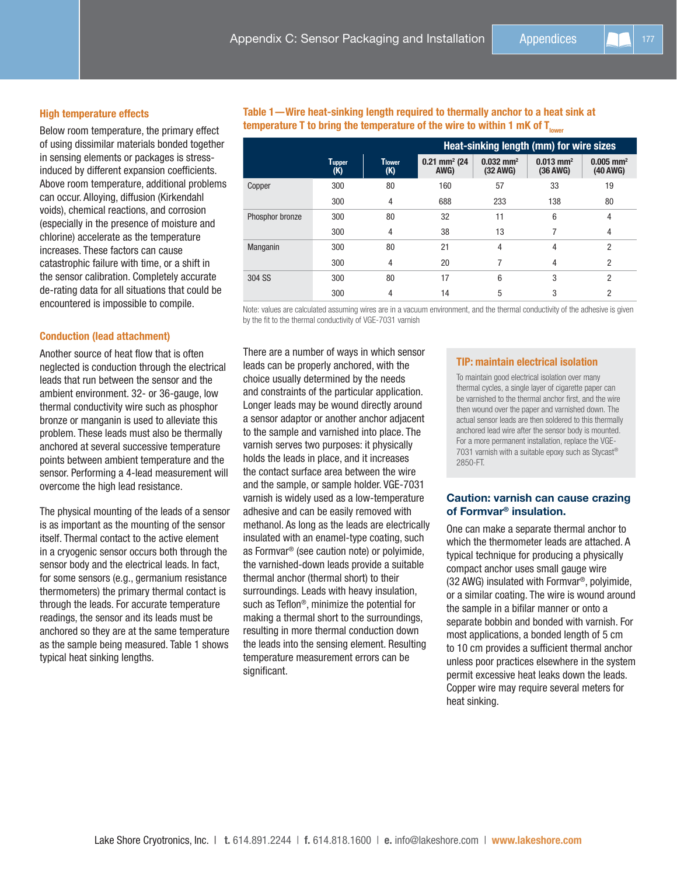#### High temperature effects

Below room temperature, the primary effect of using dissimilar materials bonded together in sensing elements or packages is stressinduced by different expansion coefficients. Above room temperature, additional problems can occur. Alloying, diffusion (Kirkendahl voids), chemical reactions, and corrosion (especially in the presence of moisture and chlorine) accelerate as the temperature increases. These factors can cause catastrophic failure with time, or a shift in the sensor calibration. Completely accurate de-rating data for all situations that could be encountered is impossible to compile.

#### Conduction (lead attachment)

Another source of heat flow that is often neglected is conduction through the electrical leads that run between the sensor and the ambient environment. 32- or 36-gauge, low thermal conductivity wire such as phosphor bronze or manganin is used to alleviate this problem. These leads must also be thermally anchored at several successive temperature points between ambient temperature and the sensor. Performing a 4-lead measurement will overcome the high lead resistance.

The physical mounting of the leads of a sensor is as important as the mounting of the sensor itself. Thermal contact to the active element in a cryogenic sensor occurs both through the sensor body and the electrical leads. In fact, for some sensors (e.g., germanium resistance thermometers) the primary thermal contact is through the leads. For accurate temperature readings, the sensor and its leads must be anchored so they are at the same temperature as the sample being measured. Table 1 shows typical heat sinking lengths.

Table 1—Wire heat-sinking length required to thermally anchor to a heat sink at temperature T to bring the temperature of the wire to within 1 mK of  $T_{lower}$ 

|                 |                      |               | Heat-sinking length (mm) for wire sizes |                                     |                                     |                                     |
|-----------------|----------------------|---------------|-----------------------------------------|-------------------------------------|-------------------------------------|-------------------------------------|
|                 | <b>Tupper</b><br>(K) | Tlower<br>(K) | $0.21$ mm <sup>2</sup> (24)<br>AWG)     | $0.032$ mm <sup>2</sup><br>(32 AWG) | $0.013$ mm <sup>2</sup><br>(36 AWG) | $0.005$ mm <sup>2</sup><br>(40 AWG) |
| Copper          | 300                  | 80            | 160                                     | 57                                  | 33                                  | 19                                  |
|                 | 300                  | 4             | 688                                     | 233                                 | 138                                 | 80                                  |
| Phosphor bronze | 300                  | 80            | 32                                      | 11                                  | 6                                   | 4                                   |
|                 | 300                  | 4             | 38                                      | 13                                  |                                     | 4                                   |
| Manganin        | 300                  | 80            | 21                                      | 4                                   | 4                                   | 2                                   |
|                 | 300                  | 4             | 20                                      |                                     | 4                                   | $\overline{2}$                      |
| 304 SS          | 300                  | 80            | 17                                      | 6                                   | 3                                   | $\overline{2}$                      |
|                 | 300                  | 4             | 14                                      | 5                                   | 3                                   | 2                                   |

Note: values are calculated assuming wires are in a vacuum environment, and the thermal conductivity of the adhesive is given by the fit to the thermal conductivity of VGE-7031 varnish

There are a number of ways in which sensor leads can be properly anchored, with the choice usually determined by the needs and constraints of the particular application. Longer leads may be wound directly around a sensor adaptor or another anchor adjacent to the sample and varnished into place. The varnish serves two purposes: it physically holds the leads in place, and it increases the contact surface area between the wire and the sample, or sample holder. VGE-7031 varnish is widely used as a low-temperature adhesive and can be easily removed with methanol. As long as the leads are electrically insulated with an enamel-type coating, such as Formvar® (see caution note) or polyimide, the varnished-down leads provide a suitable thermal anchor (thermal short) to their surroundings. Leads with heavy insulation, such as Teflon®, minimize the potential for making a thermal short to the surroundings, resulting in more thermal conduction down the leads into the sensing element. Resulting temperature measurement errors can be significant.

#### TIP: maintain electrical isolation

To maintain good electrical isolation over many thermal cycles, a single layer of cigarette paper can be varnished to the thermal anchor first, and the wire then wound over the paper and varnished down. The actual sensor leads are then soldered to this thermally anchored lead wire after the sensor body is mounted. For a more permanent installation, replace the VGE-7031 varnish with a suitable epoxy such as Stycast® 2850-FT.

#### Caution: varnish can cause crazing of Formvar® insulation.

One can make a separate thermal anchor to which the thermometer leads are attached. A typical technique for producing a physically compact anchor uses small gauge wire (32 AWG) insulated with Formvar®, polyimide, or a similar coating. The wire is wound around the sample in a bifilar manner or onto a separate bobbin and bonded with varnish. For most applications, a bonded length of 5 cm to 10 cm provides a sufficient thermal anchor unless poor practices elsewhere in the system permit excessive heat leaks down the leads. Copper wire may require several meters for heat sinking.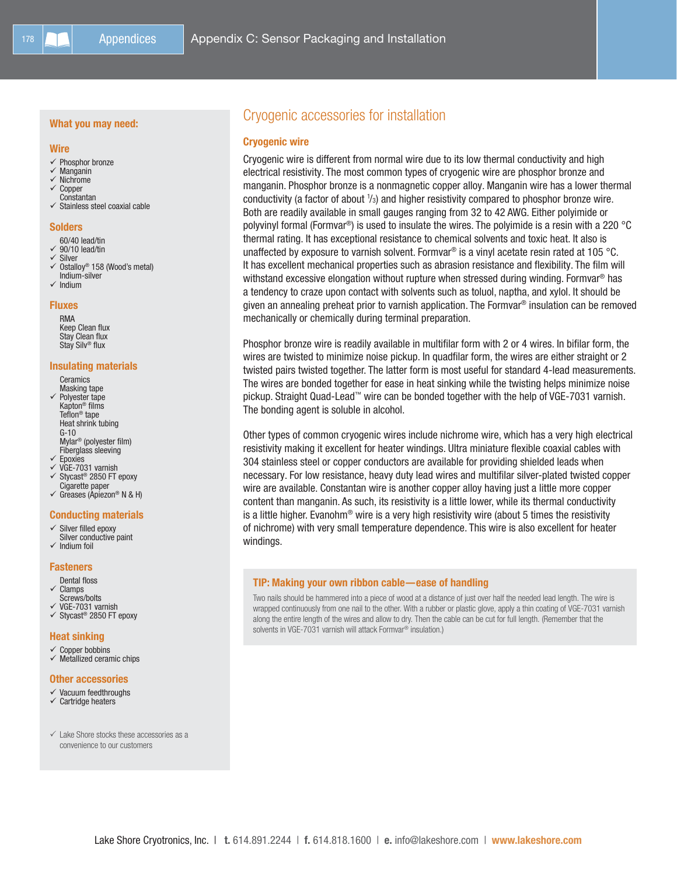#### What you may need:

#### Wire

- $\checkmark$  Phosphor bronze
- Manganin
- $\checkmark$  Nichrome
- Copper Constantan
- $\checkmark$  Stainless steel coaxial cable

#### **Solders**

- 60/40 lead/tin
- $\checkmark$  90/10 lead/tin
- V Silver<br>V Ostalle
- Ostalloy® 158 (Wood's metal) Indium-silver
- $\checkmark$  Indium

Fluxes RMA Keep Clean flux Stay Clean flux Stay Silv® flux

## Insulating materials

- **Ceramics** Masking tape Polyester tape Kapton® films Teflon® tape Heat shrink tubing G-10 Mylar® (polyester film) Fiberglass sleeving
- $\checkmark$  Epoxies
- VGE-7031 varnish
- $\checkmark$  Stycast® 2850 FT epoxy Cigarette paper
- $\checkmark$  Greases (Apiezon® N & H)

#### Conducting materials

- $\checkmark$  Silver filled epoxy Silver conductive paint
- Indium foil

#### **Fasteners**

- Dental floss  $\checkmark$  Clamps
- Screws/bolts  $\checkmark$  VGE-7031 varnish
- $\checkmark$  Stycast® 2850 FT epoxy

#### Heat sinking

- $\checkmark$  Copper bobbins
- $\checkmark$  Metallized ceramic chips

#### Other accessories

- $\checkmark$  Vacuum feedthroughs
- $\checkmark$  Cartridge heaters
- $\checkmark$  Lake Shore stocks these accessories as a convenience to our customers

### Cryogenic accessories for installation

#### Cryogenic wire

Cryogenic wire is different from normal wire due to its low thermal conductivity and high electrical resistivity. The most common types of cryogenic wire are phosphor bronze and manganin. Phosphor bronze is a nonmagnetic copper alloy. Manganin wire has a lower thermal conductivity (a factor of about  $\frac{1}{3}$ ) and higher resistivity compared to phosphor bronze wire. Both are readily available in small gauges ranging from 32 to 42 AWG. Either polyimide or polyvinyl formal (Formvar®) is used to insulate the wires. The polyimide is a resin with a 220 °C thermal rating. It has exceptional resistance to chemical solvents and toxic heat. It also is unaffected by exposure to varnish solvent. Formvar® is a vinyl acetate resin rated at 105 °C. It has excellent mechanical properties such as abrasion resistance and flexibility. The film will withstand excessive elongation without rupture when stressed during winding. Formvar® has a tendency to craze upon contact with solvents such as toluol, naptha, and xylol. It should be given an annealing preheat prior to varnish application. The Formvar® insulation can be removed mechanically or chemically during terminal preparation.

Phosphor bronze wire is readily available in multifilar form with 2 or 4 wires. In bifilar form, the wires are twisted to minimize noise pickup. In quadfilar form, the wires are either straight or 2 twisted pairs twisted together. The latter form is most useful for standard 4-lead measurements. The wires are bonded together for ease in heat sinking while the twisting helps minimize noise pickup. Straight Quad-Lead™ wire can be bonded together with the help of VGE-7031 varnish. The bonding agent is soluble in alcohol.

Other types of common cryogenic wires include nichrome wire, which has a very high electrical resistivity making it excellent for heater windings. Ultra miniature flexible coaxial cables with 304 stainless steel or copper conductors are available for providing shielded leads when necessary. For low resistance, heavy duty lead wires and multifilar silver-plated twisted copper wire are available. Constantan wire is another copper alloy having just a little more copper content than manganin. As such, its resistivity is a little lower, while its thermal conductivity is a little higher. Evanohm<sup>®</sup> wire is a very high resistivity wire (about 5 times the resistivity of nichrome) with very small temperature dependence. This wire is also excellent for heater windings.

#### TIP: Making your own ribbon cable—ease of handling

Two nails should be hammered into a piece of wood at a distance of just over half the needed lead length. The wire is wrapped continuously from one nail to the other. With a rubber or plastic glove, apply a thin coating of VGE-7031 varnish along the entire length of the wires and allow to dry. Then the cable can be cut for full length. (Remember that the solvents in VGE-7031 varnish will attack Formvar<sup>®</sup> insulation.)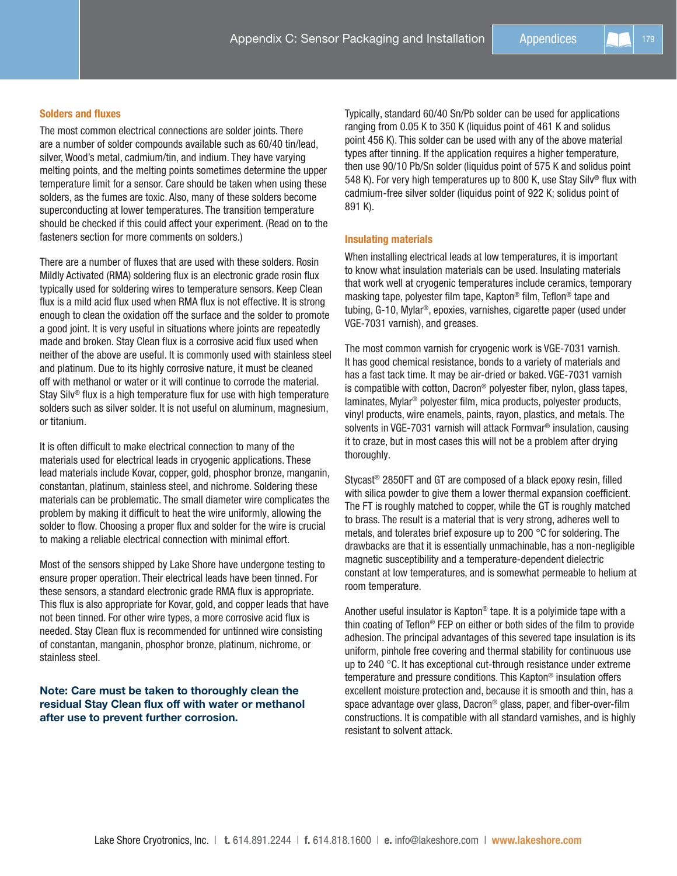#### Solders and fluxes

The most common electrical connections are solder joints. There are a number of solder compounds available such as 60/40 tin/lead, silver, Wood's metal, cadmium/tin, and indium. They have varying melting points, and the melting points sometimes determine the upper temperature limit for a sensor. Care should be taken when using these solders, as the fumes are toxic. Also, many of these solders become superconducting at lower temperatures. The transition temperature should be checked if this could affect your experiment. (Read on to the fasteners section for more comments on solders.)

There are a number of fluxes that are used with these solders. Rosin Mildly Activated (RMA) soldering flux is an electronic grade rosin flux typically used for soldering wires to temperature sensors. Keep Clean flux is a mild acid flux used when RMA flux is not effective. It is strong enough to clean the oxidation off the surface and the solder to promote a good joint. It is very useful in situations where joints are repeatedly made and broken. Stay Clean flux is a corrosive acid flux used when neither of the above are useful. It is commonly used with stainless steel and platinum. Due to its highly corrosive nature, it must be cleaned off with methanol or water or it will continue to corrode the material. Stay Silv® flux is a high temperature flux for use with high temperature solders such as silver solder. It is not useful on aluminum, magnesium, or titanium.

It is often difficult to make electrical connection to many of the materials used for electrical leads in cryogenic applications. These lead materials include Kovar, copper, gold, phosphor bronze, manganin, constantan, platinum, stainless steel, and nichrome. Soldering these materials can be problematic. The small diameter wire complicates the problem by making it difficult to heat the wire uniformly, allowing the solder to flow. Choosing a proper flux and solder for the wire is crucial to making a reliable electrical connection with minimal effort.

Most of the sensors shipped by Lake Shore have undergone testing to ensure proper operation. Their electrical leads have been tinned. For these sensors, a standard electronic grade RMA flux is appropriate. This flux is also appropriate for Kovar, gold, and copper leads that have not been tinned. For other wire types, a more corrosive acid flux is needed. Stay Clean flux is recommended for untinned wire consisting of constantan, manganin, phosphor bronze, platinum, nichrome, or stainless steel.

#### Note: Care must be taken to thoroughly clean the residual Stay Clean flux off with water or methanol after use to prevent further corrosion.

Typically, standard 60/40 Sn/Pb solder can be used for applications ranging from 0.05 K to 350 K (liquidus point of 461 K and solidus point 456 K). This solder can be used with any of the above material types after tinning. If the application requires a higher temperature, then use 90/10 Pb/Sn solder (liquidus point of 575 K and solidus point 548 K). For very high temperatures up to 800 K, use Stay Silv® flux with cadmium-free silver solder (liquidus point of 922 K; solidus point of 891 K).

#### Insulating materials

When installing electrical leads at low temperatures, it is important to know what insulation materials can be used. Insulating materials that work well at cryogenic temperatures include ceramics, temporary masking tape, polyester film tape, Kapton® film, Teflon® tape and tubing, G-10, Mylar®, epoxies, varnishes, cigarette paper (used under VGE-7031 varnish), and greases.

The most common varnish for cryogenic work is VGE-7031 varnish. It has good chemical resistance, bonds to a variety of materials and has a fast tack time. It may be air-dried or baked. VGE-7031 varnish is compatible with cotton, Dacron® polyester fiber, nylon, glass tapes, laminates, Mylar® polyester film, mica products, polyester products, vinyl products, wire enamels, paints, rayon, plastics, and metals. The solvents in VGE-7031 varnish will attack Formvar® insulation, causing it to craze, but in most cases this will not be a problem after drying thoroughly.

Stycast® 2850FT and GT are composed of a black epoxy resin, filled with silica powder to give them a lower thermal expansion coefficient. The FT is roughly matched to copper, while the GT is roughly matched to brass. The result is a material that is very strong, adheres well to metals, and tolerates brief exposure up to 200 °C for soldering. The drawbacks are that it is essentially unmachinable, has a non-negligible magnetic susceptibility and a temperature-dependent dielectric constant at low temperatures, and is somewhat permeable to helium at room temperature.

Another useful insulator is Kapton® tape. It is a polyimide tape with a thin coating of Teflon® FEP on either or both sides of the film to provide adhesion. The principal advantages of this severed tape insulation is its uniform, pinhole free covering and thermal stability for continuous use up to 240 °C. It has exceptional cut-through resistance under extreme temperature and pressure conditions. This Kapton® insulation offers excellent moisture protection and, because it is smooth and thin, has a space advantage over glass, Dacron® glass, paper, and fiber-over-film constructions. It is compatible with all standard varnishes, and is highly resistant to solvent attack.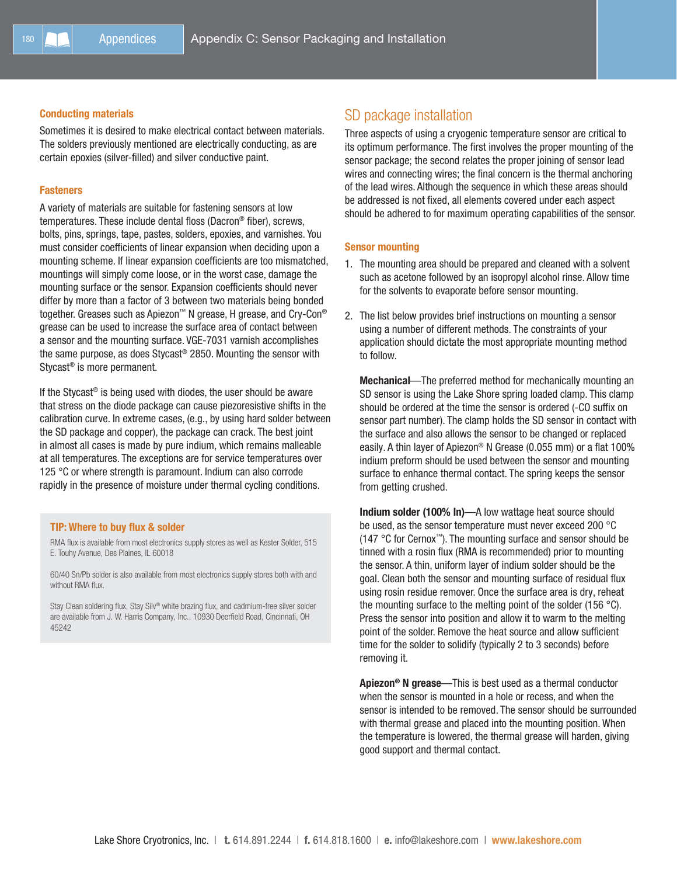#### Conducting materials

Sometimes it is desired to make electrical contact between materials. The solders previously mentioned are electrically conducting, as are certain epoxies (silver-filled) and silver conductive paint.

#### **Fasteners**

A variety of materials are suitable for fastening sensors at low temperatures. These include dental floss (Dacron® fiber), screws, bolts, pins, springs, tape, pastes, solders, epoxies, and varnishes. You must consider coefficients of linear expansion when deciding upon a mounting scheme. If linear expansion coefficients are too mismatched, mountings will simply come loose, or in the worst case, damage the mounting surface or the sensor. Expansion coefficients should never differ by more than a factor of 3 between two materials being bonded together. Greases such as Apiezon™ N grease, H grease, and Cry-Con® grease can be used to increase the surface area of contact between a sensor and the mounting surface. VGE-7031 varnish accomplishes the same purpose, as does Stycast® 2850. Mounting the sensor with Stycast® is more permanent.

If the Stycast® is being used with diodes, the user should be aware that stress on the diode package can cause piezoresistive shifts in the calibration curve. In extreme cases, (e.g., by using hard solder between the SD package and copper), the package can crack. The best joint in almost all cases is made by pure indium, which remains malleable at all temperatures. The exceptions are for service temperatures over 125 °C or where strength is paramount. Indium can also corrode rapidly in the presence of moisture under thermal cycling conditions.

#### TIP: Where to buy flux & solder

RMA flux is available from most electronics supply stores as well as Kester Solder, 515 E. Touhy Avenue, Des Plaines, IL 60018

60/40 Sn/Pb solder is also available from most electronics supply stores both with and without RMA flux.

Stay Clean soldering flux, Stay Silv® white brazing flux, and cadmium-free silver solder are available from J. W. Harris Company, Inc., 10930 Deerfield Road, Cincinnati, OH 45242

### SD package installation

Three aspects of using a cryogenic temperature sensor are critical to its optimum performance. The first involves the proper mounting of the sensor package; the second relates the proper joining of sensor lead wires and connecting wires; the final concern is the thermal anchoring of the lead wires. Although the sequence in which these areas should be addressed is not fixed, all elements covered under each aspect should be adhered to for maximum operating capabilities of the sensor.

#### Sensor mounting

- 1. The mounting area should be prepared and cleaned with a solvent such as acetone followed by an isopropyl alcohol rinse. Allow time for the solvents to evaporate before sensor mounting.
- 2. The list below provides brief instructions on mounting a sensor using a number of different methods. The constraints of your application should dictate the most appropriate mounting method to follow.

Mechanical—The preferred method for mechanically mounting an SD sensor is using the Lake Shore spring loaded clamp. This clamp should be ordered at the time the sensor is ordered (-CO suffix on sensor part number). The clamp holds the SD sensor in contact with the surface and also allows the sensor to be changed or replaced easily. A thin layer of Apiezon® N Grease (0.055 mm) or a flat 100% indium preform should be used between the sensor and mounting surface to enhance thermal contact. The spring keeps the sensor from getting crushed.

Indium solder (100% In)—A low wattage heat source should be used, as the sensor temperature must never exceed 200 °C (147 °C for Cernox™). The mounting surface and sensor should be tinned with a rosin flux (RMA is recommended) prior to mounting the sensor. A thin, uniform layer of indium solder should be the goal. Clean both the sensor and mounting surface of residual flux using rosin residue remover. Once the surface area is dry, reheat the mounting surface to the melting point of the solder (156 °C). Press the sensor into position and allow it to warm to the melting point of the solder. Remove the heat source and allow sufficient time for the solder to solidify (typically 2 to 3 seconds) before removing it.

Apiezon® N grease—This is best used as a thermal conductor when the sensor is mounted in a hole or recess, and when the sensor is intended to be removed. The sensor should be surrounded with thermal grease and placed into the mounting position. When the temperature is lowered, the thermal grease will harden, giving good support and thermal contact.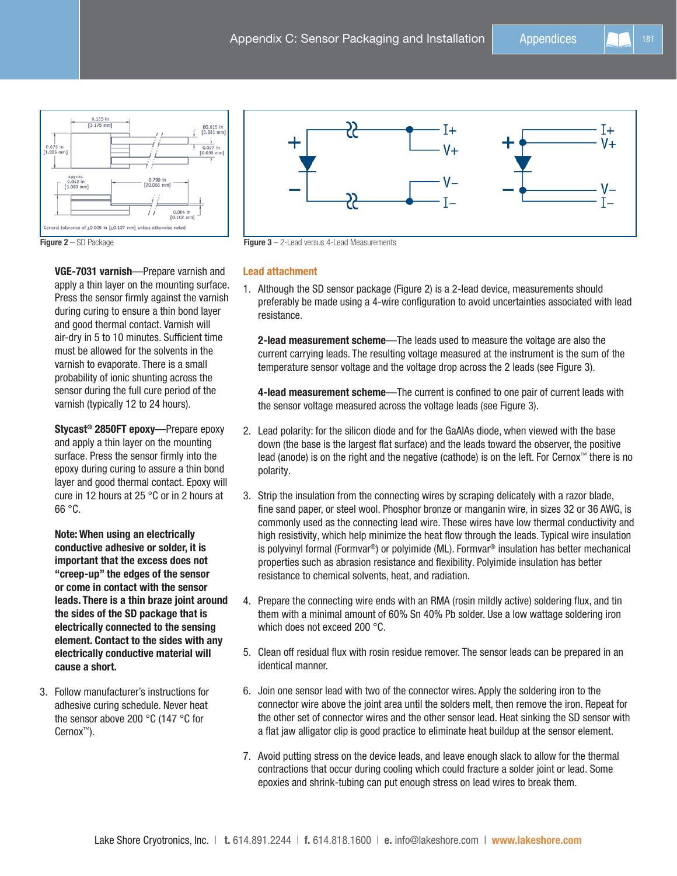



Figure 2 – SD Package **Figure 3 – 2-Lead versus 4-Lead Measurements** 

#### Lead attachment

1. Although the SD sensor package (Figure 2) is a 2-lead device, measurements should preferably be made using a 4-wire configuration to avoid uncertainties associated with lead resistance.

2-lead measurement scheme—The leads used to measure the voltage are also the current carrying leads. The resulting voltage measured at the instrument is the sum of the temperature sensor voltage and the voltage drop across the 2 leads (see Figure 3).

4-lead measurement scheme—The current is confined to one pair of current leads with the sensor voltage measured across the voltage leads (see Figure 3).

- 2. Lead polarity: for the silicon diode and for the GaAlAs diode, when viewed with the base down (the base is the largest flat surface) and the leads toward the observer, the positive lead (anode) is on the right and the negative (cathode) is on the left. For Cernox™ there is no polarity.
- 3. Strip the insulation from the connecting wires by scraping delicately with a razor blade, fine sand paper, or steel wool. Phosphor bronze or manganin wire, in sizes 32 or 36 AWG, is commonly used as the connecting lead wire. These wires have low thermal conductivity and high resistivity, which help minimize the heat flow through the leads. Typical wire insulation is polyvinyl formal (Formvar®) or polyimide (ML). Formvar® insulation has better mechanical properties such as abrasion resistance and flexibility. Polyimide insulation has better resistance to chemical solvents, heat, and radiation.
- 4. Prepare the connecting wire ends with an RMA (rosin mildly active) soldering flux, and tin them with a minimal amount of 60% Sn 40% Pb solder. Use a low wattage soldering iron which does not exceed 200 °C.
- 5. Clean off residual flux with rosin residue remover. The sensor leads can be prepared in an identical manner.
- 6. Join one sensor lead with two of the connector wires. Apply the soldering iron to the connector wire above the joint area until the solders melt, then remove the iron. Repeat for the other set of connector wires and the other sensor lead. Heat sinking the SD sensor with a flat jaw alligator clip is good practice to eliminate heat buildup at the sensor element.
- 7. Avoid putting stress on the device leads, and leave enough slack to allow for the thermal contractions that occur during cooling which could fracture a solder joint or lead. Some epoxies and shrink-tubing can put enough stress on lead wires to break them.

VGE-7031 varnish—Prepare varnish and apply a thin layer on the mounting surface. Press the sensor firmly against the varnish during curing to ensure a thin bond layer and good thermal contact. Varnish will air-dry in 5 to 10 minutes. Sufficient time must be allowed for the solvents in the varnish to evaporate. There is a small probability of ionic shunting across the sensor during the full cure period of the varnish (typically 12 to 24 hours).

Stycast® 2850FT epoxy—Prepare epoxy and apply a thin layer on the mounting surface. Press the sensor firmly into the epoxy during curing to assure a thin bond layer and good thermal contact. Epoxy will cure in 12 hours at 25 °C or in 2 hours at 66 °C.

Note: When using an electrically conductive adhesive or solder, it is important that the excess does not "creep-up" the edges of the sensor or come in contact with the sensor leads. There is a thin braze joint around the sides of the SD package that is electrically connected to the sensing element. Contact to the sides with any electrically conductive material will cause a short.

3. Follow manufacturer's instructions for adhesive curing schedule. Never heat the sensor above 200 °C (147 °C for Cernox™).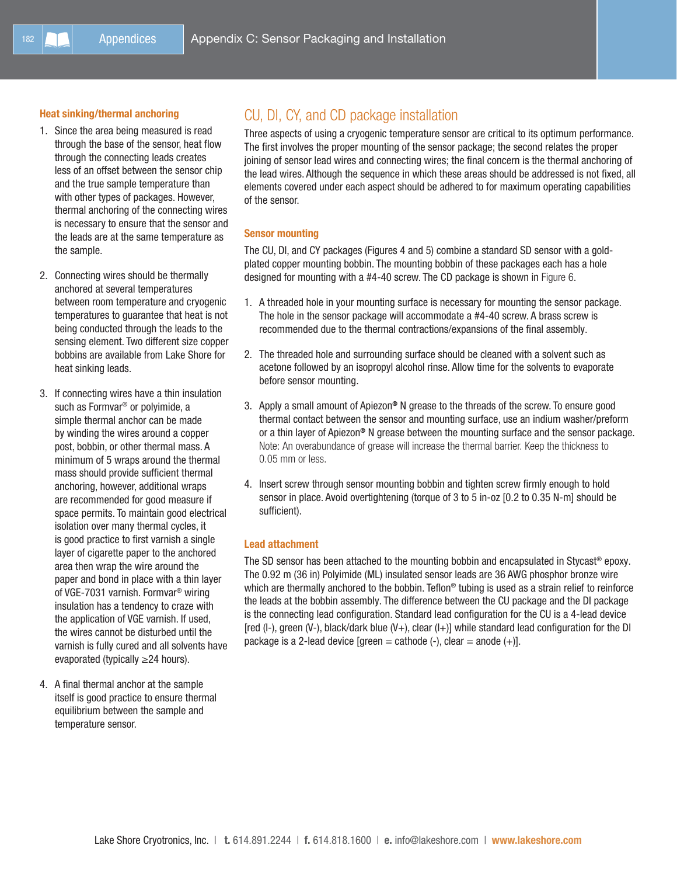#### Heat sinking/thermal anchoring

- 1. Since the area being measured is read through the base of the sensor, heat flow through the connecting leads creates less of an offset between the sensor chip and the true sample temperature than with other types of packages. However, thermal anchoring of the connecting wires is necessary to ensure that the sensor and the leads are at the same temperature as the sample.
- 2. Connecting wires should be thermally anchored at several temperatures between room temperature and cryogenic temperatures to guarantee that heat is not being conducted through the leads to the sensing element. Two different size copper bobbins are available from Lake Shore for heat sinking leads.
- 3. If connecting wires have a thin insulation such as Formvar® or polyimide, a simple thermal anchor can be made by winding the wires around a copper post, bobbin, or other thermal mass. A minimum of 5 wraps around the thermal mass should provide sufficient thermal anchoring, however, additional wraps are recommended for good measure if space permits. To maintain good electrical isolation over many thermal cycles, it is good practice to first varnish a single layer of cigarette paper to the anchored area then wrap the wire around the paper and bond in place with a thin layer of VGE-7031 varnish. Formvar® wiring insulation has a tendency to craze with the application of VGE varnish. If used, the wires cannot be disturbed until the varnish is fully cured and all solvents have evaporated (typically ≥24 hours).
- 4. A final thermal anchor at the sample itself is good practice to ensure thermal equilibrium between the sample and temperature sensor.

## CU, DI, CY, and CD package installation

Three aspects of using a cryogenic temperature sensor are critical to its optimum performance. The first involves the proper mounting of the sensor package; the second relates the proper joining of sensor lead wires and connecting wires; the final concern is the thermal anchoring of the lead wires. Although the sequence in which these areas should be addressed is not fixed, all elements covered under each aspect should be adhered to for maximum operating capabilities of the sensor.

#### Sensor mounting

The CU, DI, and CY packages (Figures 4 and 5) combine a standard SD sensor with a goldplated copper mounting bobbin. The mounting bobbin of these packages each has a hole designed for mounting with a #4-40 screw. The CD package is shown in Figure 6.

- 1. A threaded hole in your mounting surface is necessary for mounting the sensor package. The hole in the sensor package will accommodate a #4-40 screw. A brass screw is recommended due to the thermal contractions/expansions of the final assembly.
- 2. The threaded hole and surrounding surface should be cleaned with a solvent such as acetone followed by an isopropyl alcohol rinse. Allow time for the solvents to evaporate before sensor mounting.
- 3. Apply a small amount of Apiezon® N grease to the threads of the screw. To ensure good thermal contact between the sensor and mounting surface, use an indium washer/preform or a thin layer of Apiezon® N grease between the mounting surface and the sensor package. Note: An overabundance of grease will increase the thermal barrier. Keep the thickness to 0.05 mm or less.
- 4. Insert screw through sensor mounting bobbin and tighten screw firmly enough to hold sensor in place. Avoid overtightening (torque of 3 to 5 in-oz [0.2 to 0.35 N-m] should be sufficient).

#### Lead attachment

The SD sensor has been attached to the mounting bobbin and encapsulated in Stycast® epoxy. The 0.92 m (36 in) Polyimide (ML) insulated sensor leads are 36 AWG phosphor bronze wire which are thermally anchored to the bobbin. Teflon<sup>®</sup> tubing is used as a strain relief to reinforce the leads at the bobbin assembly. The difference between the CU package and the DI package is the connecting lead configuration. Standard lead configuration for the CU is a 4-lead device [red (I-), green (V-), black/dark blue (V+), clear (I+)] while standard lead configuration for the DI package is a 2-lead device  $[green = cathode (-), clear = anode (+)].$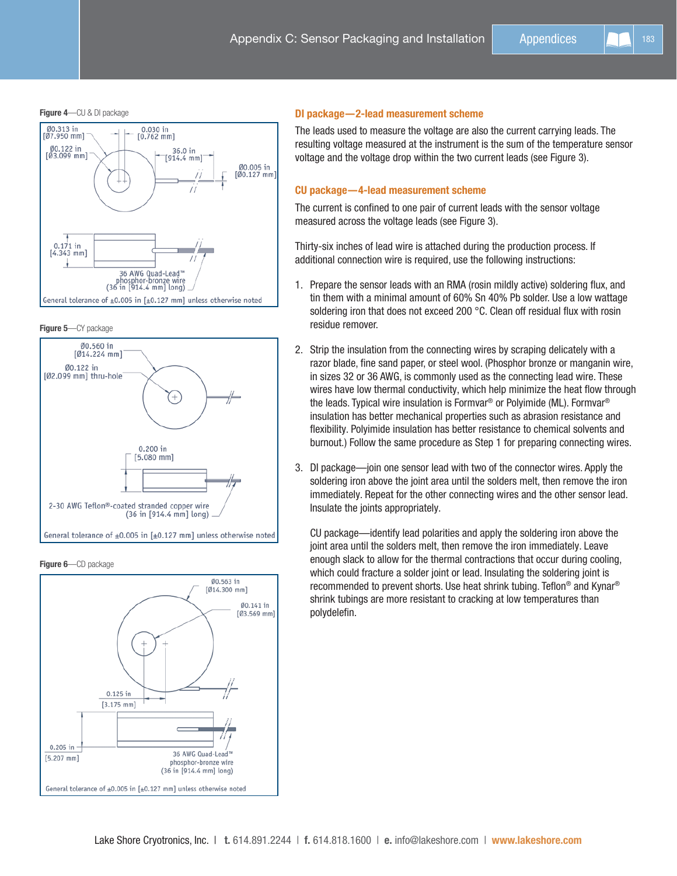Figure 4-CU & DI package







Figure 6-CD package



#### DI package—2-lead measurement scheme

The leads used to measure the voltage are also the current carrying leads. The resulting voltage measured at the instrument is the sum of the temperature sensor voltage and the voltage drop within the two current leads (see Figure 3).

#### CU package—4-lead measurement scheme

The current is confined to one pair of current leads with the sensor voltage measured across the voltage leads (see Figure 3).

Thirty-six inches of lead wire is attached during the production process. If additional connection wire is required, use the following instructions:

- 1. Prepare the sensor leads with an RMA (rosin mildly active) soldering flux, and tin them with a minimal amount of 60% Sn 40% Pb solder. Use a low wattage soldering iron that does not exceed 200 °C. Clean off residual flux with rosin residue remover.
- 2. Strip the insulation from the connecting wires by scraping delicately with a razor blade, fine sand paper, or steel wool. (Phosphor bronze or manganin wire, in sizes 32 or 36 AWG, is commonly used as the connecting lead wire. These wires have low thermal conductivity, which help minimize the heat flow through the leads. Typical wire insulation is Formvar® or Polyimide (ML). Formvar® insulation has better mechanical properties such as abrasion resistance and flexibility. Polyimide insulation has better resistance to chemical solvents and burnout.) Follow the same procedure as Step 1 for preparing connecting wires.
- 3. DI package—join one sensor lead with two of the connector wires. Apply the soldering iron above the joint area until the solders melt, then remove the iron immediately. Repeat for the other connecting wires and the other sensor lead. Insulate the joints appropriately.

CU package—identify lead polarities and apply the soldering iron above the joint area until the solders melt, then remove the iron immediately. Leave enough slack to allow for the thermal contractions that occur during cooling, which could fracture a solder joint or lead. Insulating the soldering joint is recommended to prevent shorts. Use heat shrink tubing. Teflon® and Kynar® shrink tubings are more resistant to cracking at low temperatures than polydelefin.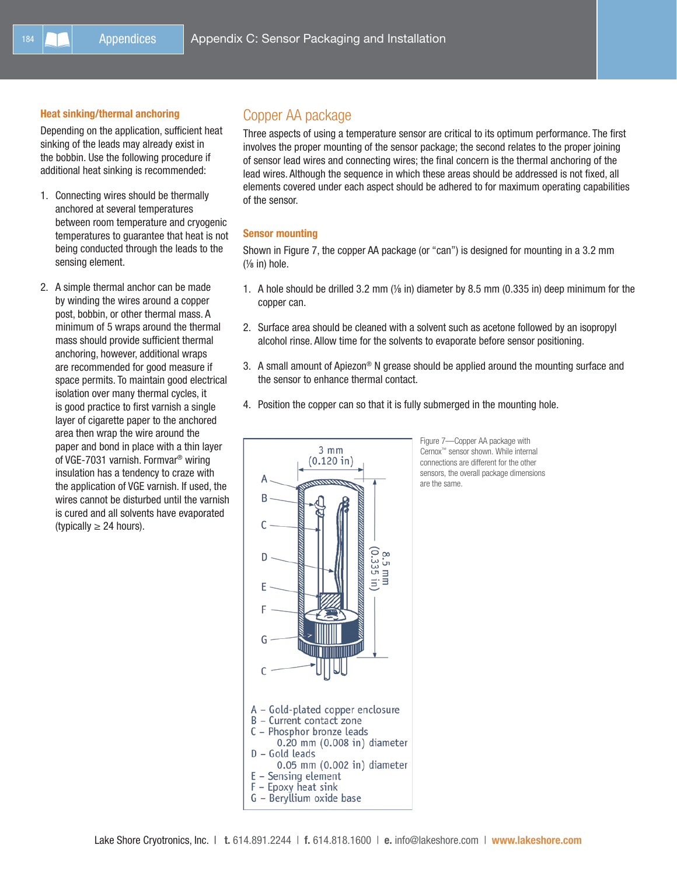#### Heat sinking/thermal anchoring

Depending on the application, sufficient heat sinking of the leads may already exist in the bobbin. Use the following procedure if additional heat sinking is recommended:

- 1. Connecting wires should be thermally anchored at several temperatures between room temperature and cryogenic temperatures to guarantee that heat is not being conducted through the leads to the sensing element.
- 2. A simple thermal anchor can be made by winding the wires around a copper post, bobbin, or other thermal mass. A minimum of 5 wraps around the thermal mass should provide sufficient thermal anchoring, however, additional wraps are recommended for good measure if space permits. To maintain good electrical isolation over many thermal cycles, it is good practice to first varnish a single layer of cigarette paper to the anchored area then wrap the wire around the paper and bond in place with a thin layer of VGE-7031 varnish. Formvar® wiring insulation has a tendency to craze with the application of VGE varnish. If used, the wires cannot be disturbed until the varnish is cured and all solvents have evaporated (typically  $\geq$  24 hours).

### Copper AA package

Three aspects of using a temperature sensor are critical to its optimum performance. The first involves the proper mounting of the sensor package; the second relates to the proper joining of sensor lead wires and connecting wires; the final concern is the thermal anchoring of the lead wires. Although the sequence in which these areas should be addressed is not fixed, all elements covered under each aspect should be adhered to for maximum operating capabilities of the sensor.

#### Sensor mounting

Shown in Figure 7, the copper AA package (or "can") is designed for mounting in a 3.2 mm (⅛ in) hole.

- 1. A hole should be drilled 3.2 mm (⅛ in) diameter by 8.5 mm (0.335 in) deep minimum for the copper can.
- 2. Surface area should be cleaned with a solvent such as acetone followed by an isopropyl alcohol rinse. Allow time for the solvents to evaporate before sensor positioning.
- 3. A small amount of Apiezon<sup>®</sup> N grease should be applied around the mounting surface and the sensor to enhance thermal contact.
- 4. Position the copper can so that it is fully submerged in the mounting hole.



Figure 7—Copper AA package with Cernox™ sensor shown. While internal connections are different for the other sensors, the overall package dimensions are the same.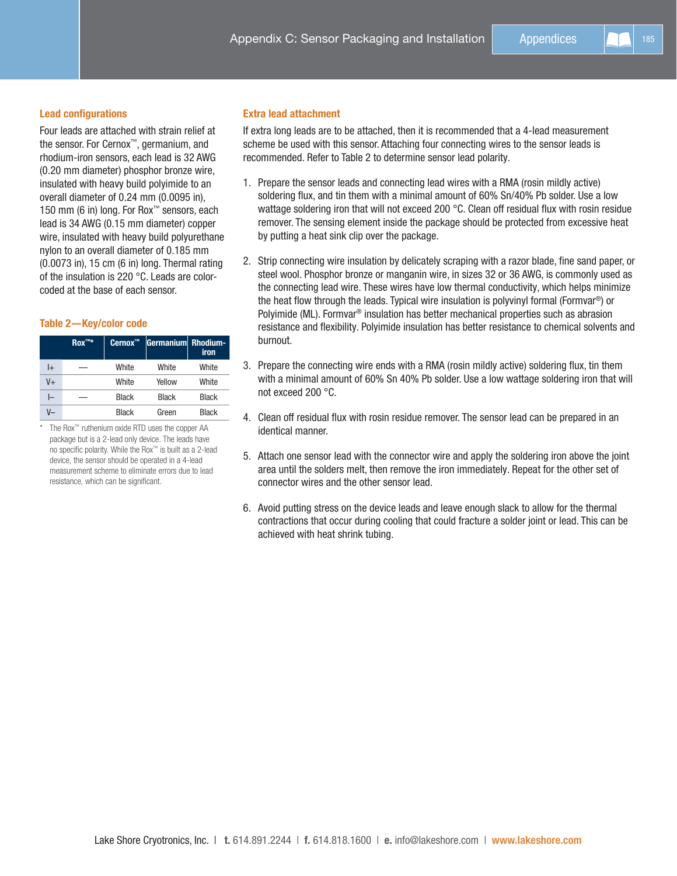#### Lead configurations

Four leads are attached with strain relief at the sensor. For Cernox™, germanium, and rhodium-iron sensors, each lead is 32 AWG (0.20 mm diameter) phosphor bronze wire, insulated with heavy build polyimide to an overall diameter of 0.24 mm (0.0095 in), 150 mm (6 in) long. For Rox™ sensors, each lead is 34 AWG (0.15 mm diameter) copper wire, insulated with heavy build polyurethane nylon to an overall diameter of 0.185 mm (0.0073 in), 15 cm (6 in) long. Thermal rating of the insulation is 220 °C. Leads are colorcoded at the base of each sensor.

#### Table 2—Key/color code

|    | $\mathsf{Rox}^{\mathsf{TM}\star}$ | Cernox <sup>™</sup> | Germanium Rhodium- | iron         |
|----|-----------------------------------|---------------------|--------------------|--------------|
| l+ |                                   | White               | White              | White        |
| V+ |                                   | White               | Yellow             | White        |
| l- |                                   | <b>Black</b>        | <b>Black</b>       | <b>Black</b> |
| V— |                                   | <b>Black</b>        | Green              | <b>Black</b> |

\* The Rox™ ruthenium oxide RTD uses the copper AA package but is a 2-lead only device. The leads have no specific polarity. While the Rox™ is built as a 2-lead device, the sensor should be operated in a 4-lead measurement scheme to eliminate errors due to lead resistance, which can be significant.

#### Extra lead attachment

If extra long leads are to be attached, then it is recommended that a 4-lead measurement scheme be used with this sensor. Attaching four connecting wires to the sensor leads is recommended. Refer to Table 2 to determine sensor lead polarity.

- 1. Prepare the sensor leads and connecting lead wires with a RMA (rosin mildly active) soldering flux, and tin them with a minimal amount of 60% Sn/40% Pb solder. Use a low wattage soldering iron that will not exceed 200 °C. Clean off residual flux with rosin residue remover. The sensing element inside the package should be protected from excessive heat by putting a heat sink clip over the package.
- 2. Strip connecting wire insulation by delicately scraping with a razor blade, fine sand paper, or steel wool. Phosphor bronze or manganin wire, in sizes 32 or 36 AWG, is commonly used as the connecting lead wire. These wires have low thermal conductivity, which helps minimize the heat flow through the leads. Typical wire insulation is polyvinyl formal (Formvar®) or Polyimide (ML). Formvar® insulation has better mechanical properties such as abrasion resistance and flexibility. Polyimide insulation has better resistance to chemical solvents and burnout.
- 3. Prepare the connecting wire ends with a RMA (rosin mildly active) soldering flux, tin them with a minimal amount of 60% Sn 40% Pb solder. Use a low wattage soldering iron that will not exceed 200 °C.
- 4. Clean off residual flux with rosin residue remover. The sensor lead can be prepared in an identical manner.
- 5. Attach one sensor lead with the connector wire and apply the soldering iron above the joint area until the solders melt, then remove the iron immediately. Repeat for the other set of connector wires and the other sensor lead.
- 6. Avoid putting stress on the device leads and leave enough slack to allow for the thermal contractions that occur during cooling that could fracture a solder joint or lead. This can be achieved with heat shrink tubing.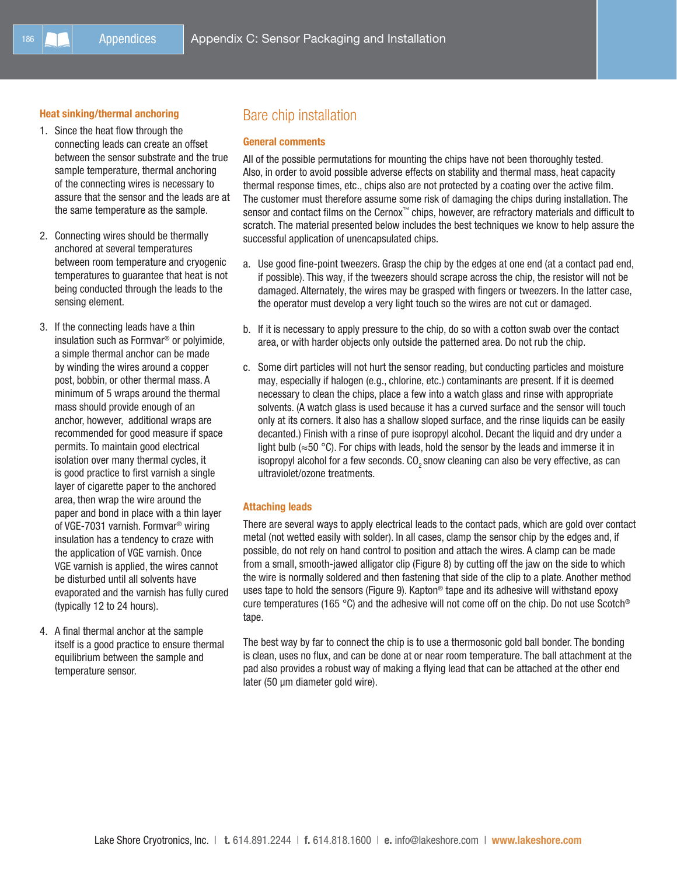#### Heat sinking/thermal anchoring

- 1. Since the heat flow through the connecting leads can create an offset between the sensor substrate and the true sample temperature, thermal anchoring of the connecting wires is necessary to assure that the sensor and the leads are at the same temperature as the sample.
- 2. Connecting wires should be thermally anchored at several temperatures between room temperature and cryogenic temperatures to guarantee that heat is not being conducted through the leads to the sensing element.
- 3. If the connecting leads have a thin insulation such as Formvar® or polyimide, a simple thermal anchor can be made by winding the wires around a copper post, bobbin, or other thermal mass. A minimum of 5 wraps around the thermal mass should provide enough of an anchor, however, additional wraps are recommended for good measure if space permits. To maintain good electrical isolation over many thermal cycles, it is good practice to first varnish a single layer of cigarette paper to the anchored area, then wrap the wire around the paper and bond in place with a thin layer of VGE-7031 varnish. Formvar® wiring insulation has a tendency to craze with the application of VGE varnish. Once VGE varnish is applied, the wires cannot be disturbed until all solvents have evaporated and the varnish has fully cured (typically 12 to 24 hours).
- 4. A final thermal anchor at the sample itself is a good practice to ensure thermal equilibrium between the sample and temperature sensor.

### Bare chip installation

#### General comments

All of the possible permutations for mounting the chips have not been thoroughly tested. Also, in order to avoid possible adverse effects on stability and thermal mass, heat capacity thermal response times, etc., chips also are not protected by a coating over the active film. The customer must therefore assume some risk of damaging the chips during installation. The sensor and contact films on the Cernox™ chips, however, are refractory materials and difficult to scratch. The material presented below includes the best techniques we know to help assure the successful application of unencapsulated chips.

- a. Use good fine-point tweezers. Grasp the chip by the edges at one end (at a contact pad end, if possible). This way, if the tweezers should scrape across the chip, the resistor will not be damaged. Alternately, the wires may be grasped with fingers or tweezers. In the latter case, the operator must develop a very light touch so the wires are not cut or damaged.
- b. If it is necessary to apply pressure to the chip, do so with a cotton swab over the contact area, or with harder objects only outside the patterned area. Do not rub the chip.
- c. Some dirt particles will not hurt the sensor reading, but conducting particles and moisture may, especially if halogen (e.g., chlorine, etc.) contaminants are present. If it is deemed necessary to clean the chips, place a few into a watch glass and rinse with appropriate solvents. (A watch glass is used because it has a curved surface and the sensor will touch only at its corners. It also has a shallow sloped surface, and the rinse liquids can be easily decanted.) Finish with a rinse of pure isopropyl alcohol. Decant the liquid and dry under a light bulb ( $\approx$ 50 °C). For chips with leads, hold the sensor by the leads and immerse it in isopropyl alcohol for a few seconds. CO<sub>2</sub> snow cleaning can also be very effective, as can ultraviolet/ozone treatments.

#### Attaching leads

There are several ways to apply electrical leads to the contact pads, which are gold over contact metal (not wetted easily with solder). In all cases, clamp the sensor chip by the edges and, if possible, do not rely on hand control to position and attach the wires. A clamp can be made from a small, smooth-jawed alligator clip (Figure 8) by cutting off the jaw on the side to which the wire is normally soldered and then fastening that side of the clip to a plate. Another method uses tape to hold the sensors (Figure 9). Kapton<sup>®</sup> tape and its adhesive will withstand epoxy cure temperatures (165 °C) and the adhesive will not come off on the chip. Do not use Scotch<sup>®</sup> tape.

The best way by far to connect the chip is to use a thermosonic gold ball bonder. The bonding is clean, uses no flux, and can be done at or near room temperature. The ball attachment at the pad also provides a robust way of making a flying lead that can be attached at the other end later (50 µm diameter gold wire).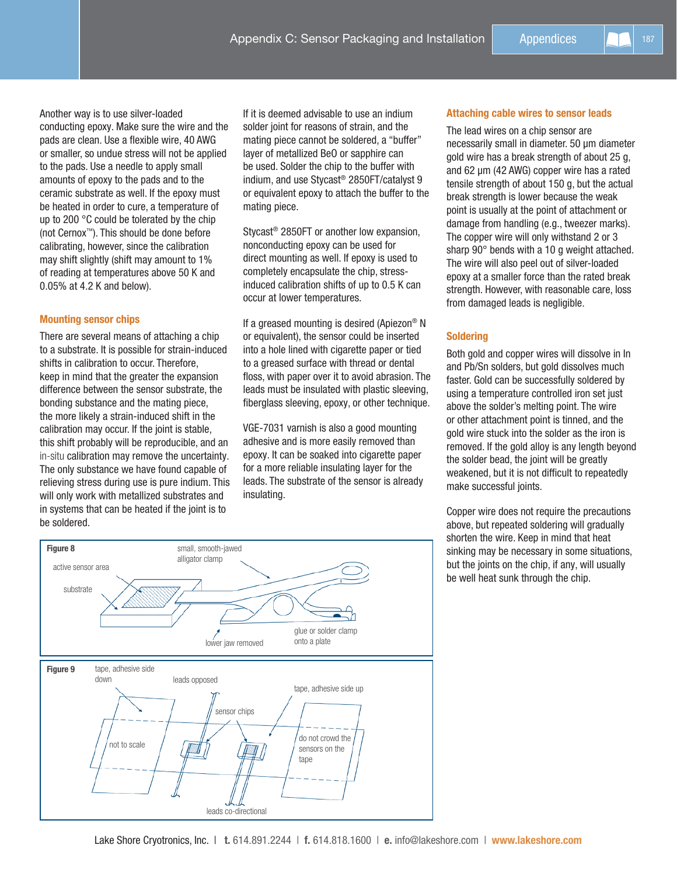Appendices | | | 187

Another way is to use silver-loaded conducting epoxy. Make sure the wire and the pads are clean. Use a flexible wire, 40 AWG or smaller, so undue stress will not be applied to the pads. Use a needle to apply small amounts of epoxy to the pads and to the ceramic substrate as well. If the epoxy must be heated in order to cure, a temperature of up to 200 °C could be tolerated by the chip (not Cernox™). This should be done before calibrating, however, since the calibration may shift slightly (shift may amount to 1% of reading at temperatures above 50 K and 0.05% at 4.2 K and below).

#### Mounting sensor chips

There are several means of attaching a chip to a substrate. It is possible for strain-induced shifts in calibration to occur. Therefore, keep in mind that the greater the expansion difference between the sensor substrate, the bonding substance and the mating piece, the more likely a strain-induced shift in the calibration may occur. If the joint is stable, this shift probably will be reproducible, and an in-situ calibration may remove the uncertainty. The only substance we have found capable of relieving stress during use is pure indium. This will only work with metallized substrates and in systems that can be heated if the joint is to be soldered.

If it is deemed advisable to use an indium solder joint for reasons of strain, and the mating piece cannot be soldered, a "buffer" layer of metallized BeO or sapphire can be used. Solder the chip to the buffer with indium, and use Stycast® 2850FT/catalyst 9 or equivalent epoxy to attach the buffer to the mating piece.

Stycast® 2850FT or another low expansion, nonconducting epoxy can be used for direct mounting as well. If epoxy is used to completely encapsulate the chip, stressinduced calibration shifts of up to 0.5 K can occur at lower temperatures.

If a greased mounting is desired (Apiezon® N or equivalent), the sensor could be inserted into a hole lined with cigarette paper or tied to a greased surface with thread or dental floss, with paper over it to avoid abrasion. The leads must be insulated with plastic sleeving, fiberglass sleeving, epoxy, or other technique.

VGE-7031 varnish is also a good mounting adhesive and is more easily removed than epoxy. It can be soaked into cigarette paper for a more reliable insulating layer for the leads. The substrate of the sensor is already insulating.



The lead wires on a chip sensor are necessarily small in diameter. 50 µm diameter gold wire has a break strength of about 25 g, and 62 µm (42 AWG) copper wire has a rated tensile strength of about 150 g, but the actual break strength is lower because the weak point is usually at the point of attachment or damage from handling (e.g., tweezer marks). The copper wire will only withstand 2 or 3 sharp 90° bends with a 10 g weight attached. The wire will also peel out of silver-loaded epoxy at a smaller force than the rated break strength. However, with reasonable care, loss from damaged leads is negligible.

#### **Soldering**

Both gold and copper wires will dissolve in In and Pb/Sn solders, but gold dissolves much faster. Gold can be successfully soldered by using a temperature controlled iron set just above the solder's melting point. The wire or other attachment point is tinned, and the gold wire stuck into the solder as the iron is removed. If the gold alloy is any length beyond the solder bead, the joint will be greatly weakened, but it is not difficult to repeatedly make successful joints.

Copper wire does not require the precautions above, but repeated soldering will gradually shorten the wire. Keep in mind that heat sinking may be necessary in some situations, but the joints on the chip, if any, will usually be well heat sunk through the chip.